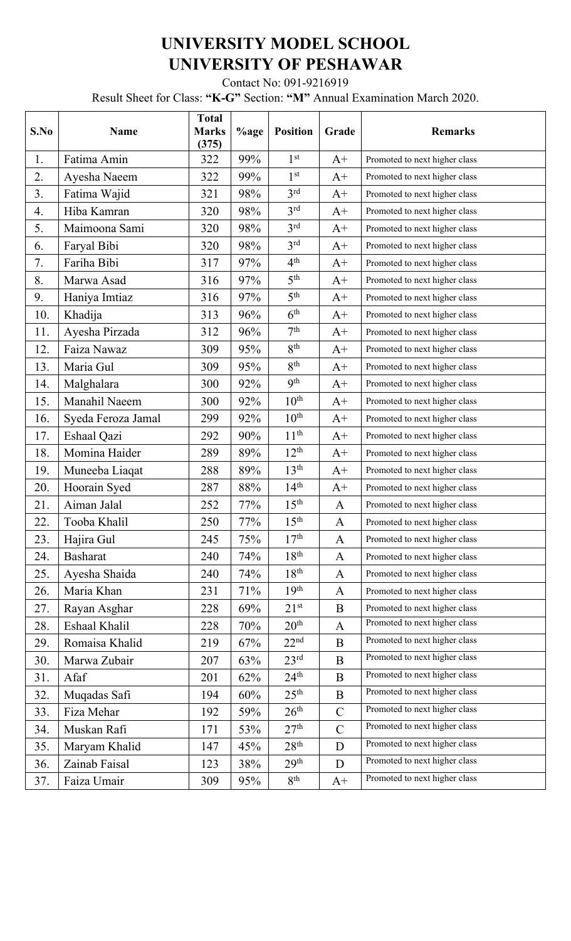## **UNIVERSITY MODEL SCHOOL UNIVERSITY OF PESHAWAR**

Contact No: 091-9216919

Result Sheet for Class: **"K-G"** Section: **"M"** Annual Examination March 2020.

| S.No | <b>Name</b>        | <b>Total</b><br><b>Marks</b><br>(375) | %age | <b>Position</b>  | Grade        | <b>Remarks</b>                |
|------|--------------------|---------------------------------------|------|------------------|--------------|-------------------------------|
| 1.   | Fatima Amin        | 322                                   | 99%  | 1 <sup>st</sup>  | $A+$         | Promoted to next higher class |
| 2.   | Ayesha Naeem       | 322                                   | 99%  | 1 <sup>st</sup>  | $A+$         | Promoted to next higher class |
| 3.   | Fatima Wajid       | 321                                   | 98%  | 3 <sup>rd</sup>  | $A+$         | Promoted to next higher class |
| 4.   | Hiba Kamran        | 320                                   | 98%  | 3 <sup>rd</sup>  | $A+$         | Promoted to next higher class |
| 5.   | Maimoona Sami      | 320                                   | 98%  | 3 <sup>rd</sup>  | $A+$         | Promoted to next higher class |
| 6.   | Faryal Bibi        | 320                                   | 98%  | 3 <sup>rd</sup>  | $A+$         | Promoted to next higher class |
| 7.   | Fariha Bibi        | 317                                   | 97%  | 4 <sup>th</sup>  | $A+$         | Promoted to next higher class |
| 8.   | Marwa Asad         | 316                                   | 97%  | 5 <sup>th</sup>  | $A+$         | Promoted to next higher class |
| 9.   | Haniya Imtiaz      | 316                                   | 97%  | 5 <sup>th</sup>  | $A+$         | Promoted to next higher class |
| 10.  | Khadija            | 313                                   | 96%  | 6 <sup>th</sup>  | $A+$         | Promoted to next higher class |
| 11.  | Ayesha Pirzada     | 312                                   | 96%  | 7 <sup>th</sup>  | $A+$         | Promoted to next higher class |
| 12.  | Faiza Nawaz        | 309                                   | 95%  | 8 <sup>th</sup>  | $A+$         | Promoted to next higher class |
| 13.  | Maria Gul          | 309                                   | 95%  | 8 <sup>th</sup>  | $A+$         | Promoted to next higher class |
| 14.  | Malghalara         | 300                                   | 92%  | 9 <sup>th</sup>  | $A+$         | Promoted to next higher class |
| 15.  | Manahil Naeem      | 300                                   | 92%  | $10^{\text{th}}$ | $A+$         | Promoted to next higher class |
| 16.  | Syeda Feroza Jamal | 299                                   | 92%  | 10 <sup>th</sup> | $A+$         | Promoted to next higher class |
| 17.  | Eshaal Qazi        | 292                                   | 90%  | 11 <sup>th</sup> | $A+$         | Promoted to next higher class |
| 18.  | Momina Haider      | 289                                   | 89%  | $12^{th}$        | $A+$         | Promoted to next higher class |
| 19.  | Muneeba Liaqat     | 288                                   | 89%  | 13 <sup>th</sup> | $A+$         | Promoted to next higher class |
| 20.  | Hoorain Syed       | 287                                   | 88%  | 14 <sup>th</sup> | $A+$         | Promoted to next higher class |
| 21.  | Aiman Jalal        | 252                                   | 77%  | 15 <sup>th</sup> | $\mathbf{A}$ | Promoted to next higher class |
| 22.  | Tooba Khalil       | 250                                   | 77%  | 15 <sup>th</sup> | $\mathbf{A}$ | Promoted to next higher class |
| 23.  | Hajira Gul         | 245                                   | 75%  | 17 <sup>th</sup> | $\mathbf{A}$ | Promoted to next higher class |
| 24.  | <b>Basharat</b>    | 240                                   | 74%  | 18 <sup>th</sup> | $\mathbf{A}$ | Promoted to next higher class |
| 25.  | Ayesha Shaida      | 240                                   | 74%  | 18 <sup>th</sup> | $\mathbf{A}$ | Promoted to next higher class |
| 26.  | Maria Khan         | 231                                   | 71%  | 19 <sup>th</sup> | $\mathbf{A}$ | Promoted to next higher class |
| 27.  | Rayan Asghar       | 228                                   | 69%  | $21^{st}$        | $\bf{B}$     | Promoted to next higher class |
| 28.  | Eshaal Khalil      | 228                                   | 70%  | 20 <sup>th</sup> | $\mathbf{A}$ | Promoted to next higher class |
| 29.  | Romaisa Khalid     | 219                                   | 67%  | 22 <sup>nd</sup> | B            | Promoted to next higher class |
| 30.  | Marwa Zubair       | 207                                   | 63%  | 23 <sup>rd</sup> | $\bf{B}$     | Promoted to next higher class |
| 31.  | Afaf               | 201                                   | 62%  | $24^{\text{th}}$ | $\bf{B}$     | Promoted to next higher class |
| 32.  | Muqadas Safi       | 194                                   | 60%  | 25 <sup>th</sup> | $\, {\bf B}$ | Promoted to next higher class |
| 33.  | Fiza Mehar         | 192                                   | 59%  | 26 <sup>th</sup> | $\mathbf C$  | Promoted to next higher class |
| 34.  | Muskan Rafi        | 171                                   | 53%  | 27 <sup>th</sup> | $\mathbf C$  | Promoted to next higher class |
| 35.  | Maryam Khalid      | 147                                   | 45%  | 28 <sup>th</sup> | D            | Promoted to next higher class |
| 36.  | Zainab Faisal      | 123                                   | 38%  | 29 <sup>th</sup> | D            | Promoted to next higher class |
| 37.  | Faiza Umair        | 309                                   | 95%  | 8 <sup>th</sup>  | $A+$         | Promoted to next higher class |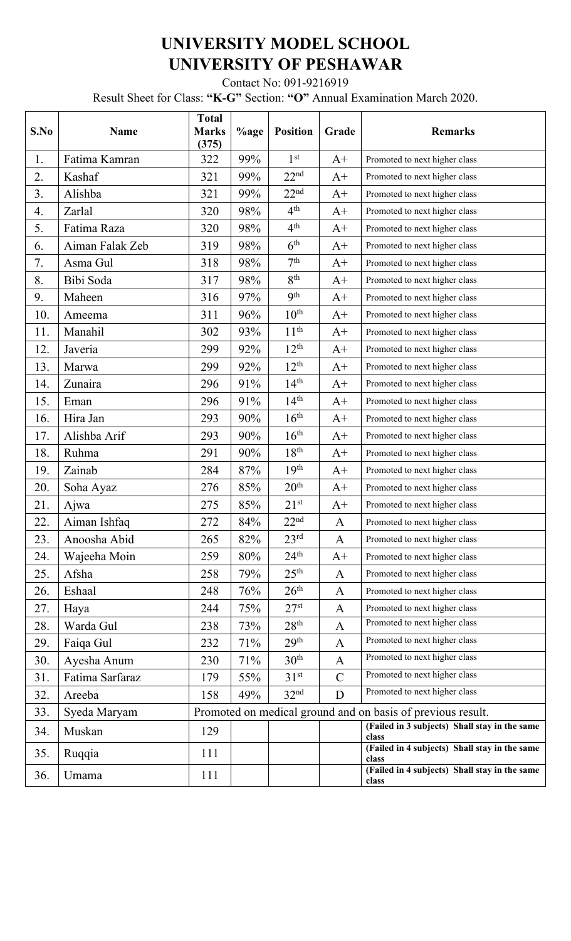## **UNIVERSITY MODEL SCHOOL UNIVERSITY OF PESHAWAR**

Contact No: 091-9216919

Result Sheet for Class: **"K-G"** Section: **"O"** Annual Examination March 2020.

| S.No | <b>Name</b>     | <b>Total</b><br><b>Marks</b><br>(375)                       | %age | <b>Position</b>  | Grade        | <b>Remarks</b>                                         |  |
|------|-----------------|-------------------------------------------------------------|------|------------------|--------------|--------------------------------------------------------|--|
| 1.   | Fatima Kamran   | 322                                                         | 99%  | 1 <sup>st</sup>  | $A+$         | Promoted to next higher class                          |  |
| 2.   | Kashaf          | 321                                                         | 99%  | 22 <sup>nd</sup> | $A+$         | Promoted to next higher class                          |  |
| 3.   | Alishba         | 321                                                         | 99%  | 22 <sup>nd</sup> | $A+$         | Promoted to next higher class                          |  |
| 4.   | Zarlal          | 320                                                         | 98%  | 4 <sup>th</sup>  | $A+$         | Promoted to next higher class                          |  |
| 5.   | Fatima Raza     | 320                                                         | 98%  | 4 <sup>th</sup>  | $A+$         | Promoted to next higher class                          |  |
| 6.   | Aiman Falak Zeb | 319                                                         | 98%  | 6 <sup>th</sup>  | $A+$         | Promoted to next higher class                          |  |
| 7.   | Asma Gul        | 318                                                         | 98%  | 7 <sup>th</sup>  | $A+$         | Promoted to next higher class                          |  |
| 8.   | Bibi Soda       | 317                                                         | 98%  | 8 <sup>th</sup>  | $A+$         | Promoted to next higher class                          |  |
| 9.   | Maheen          | 316                                                         | 97%  | Q <sup>th</sup>  | $A+$         | Promoted to next higher class                          |  |
| 10.  | Ameema          | 311                                                         | 96%  | $10^{\rm th}$    | $A+$         | Promoted to next higher class                          |  |
| 11.  | Manahil         | 302                                                         | 93%  | 11 <sup>th</sup> | $A+$         | Promoted to next higher class                          |  |
| 12.  | Javeria         | 299                                                         | 92%  | $12^{th}$        | $A+$         | Promoted to next higher class                          |  |
| 13.  | Marwa           | 299                                                         | 92%  | $12^{\text{th}}$ | $A+$         | Promoted to next higher class                          |  |
| 14.  | Zunaira         | 296                                                         | 91%  | 14 <sup>th</sup> | $A+$         | Promoted to next higher class                          |  |
| 15.  | Eman            | 296                                                         | 91%  | 14 <sup>th</sup> | $A+$         | Promoted to next higher class                          |  |
| 16.  | Hira Jan        | 293                                                         | 90%  | $16^{\text{th}}$ | $A+$         | Promoted to next higher class                          |  |
| 17.  | Alishba Arif    | 293                                                         | 90%  | 16 <sup>th</sup> | $A+$         | Promoted to next higher class                          |  |
| 18.  | Ruhma           | 291                                                         | 90%  | 18 <sup>th</sup> | $A+$         | Promoted to next higher class                          |  |
| 19.  | Zainab          | 284                                                         | 87%  | 19 <sup>th</sup> | $A+$         | Promoted to next higher class                          |  |
| 20.  | Soha Ayaz       | 276                                                         | 85%  | 20 <sup>th</sup> | $A+$         | Promoted to next higher class                          |  |
| 21.  | Ajwa            | 275                                                         | 85%  | $21^{st}$        | $A+$         | Promoted to next higher class                          |  |
| 22.  | Aiman Ishfaq    | 272                                                         | 84%  | 22 <sup>nd</sup> | A            | Promoted to next higher class                          |  |
| 23.  | Anoosha Abid    | 265                                                         | 82%  | 23 <sup>rd</sup> | $\mathbf{A}$ | Promoted to next higher class                          |  |
| 24.  | Wajeeha Moin    | 259                                                         | 80%  | $24^{\text{th}}$ | $A+$         | Promoted to next higher class                          |  |
| 25.  | Afsha           | 258                                                         | 79%  | 25 <sup>th</sup> | $\mathbf{A}$ | Promoted to next higher class                          |  |
| 26.  | Eshaal          | 248                                                         | 76%  | 26 <sup>th</sup> | $\mathbf{A}$ | Promoted to next higher class                          |  |
| 27.  | Haya            | 244                                                         | 75%  | 27 <sup>st</sup> | $\mathbf{A}$ | Promoted to next higher class                          |  |
| 28.  | Warda Gul       | 238                                                         | 73%  | 28 <sup>th</sup> | A            | Promoted to next higher class                          |  |
| 29.  | Faiqa Gul       | 232                                                         | 71%  | 29 <sup>th</sup> | A            | Promoted to next higher class                          |  |
| 30.  | Ayesha Anum     | 230                                                         | 71%  | 30 <sup>th</sup> | $\mathbf{A}$ | Promoted to next higher class                          |  |
| 31.  | Fatima Sarfaraz | 179                                                         | 55%  | 31 <sup>st</sup> | $\mathbf C$  | Promoted to next higher class                          |  |
| 32.  | Areeba          | 158                                                         | 49%  | 32 <sup>nd</sup> | D            | Promoted to next higher class                          |  |
| 33.  | Syeda Maryam    | Promoted on medical ground and on basis of previous result. |      |                  |              |                                                        |  |
| 34.  | Muskan          | 129                                                         |      |                  |              | (Failed in 3 subjects) Shall stay in the same<br>class |  |
| 35.  | Ruqqia          | 111                                                         |      |                  |              | (Failed in 4 subjects) Shall stay in the same<br>class |  |
| 36.  | Umama           | 111                                                         |      |                  |              | (Failed in 4 subjects) Shall stay in the same<br>class |  |